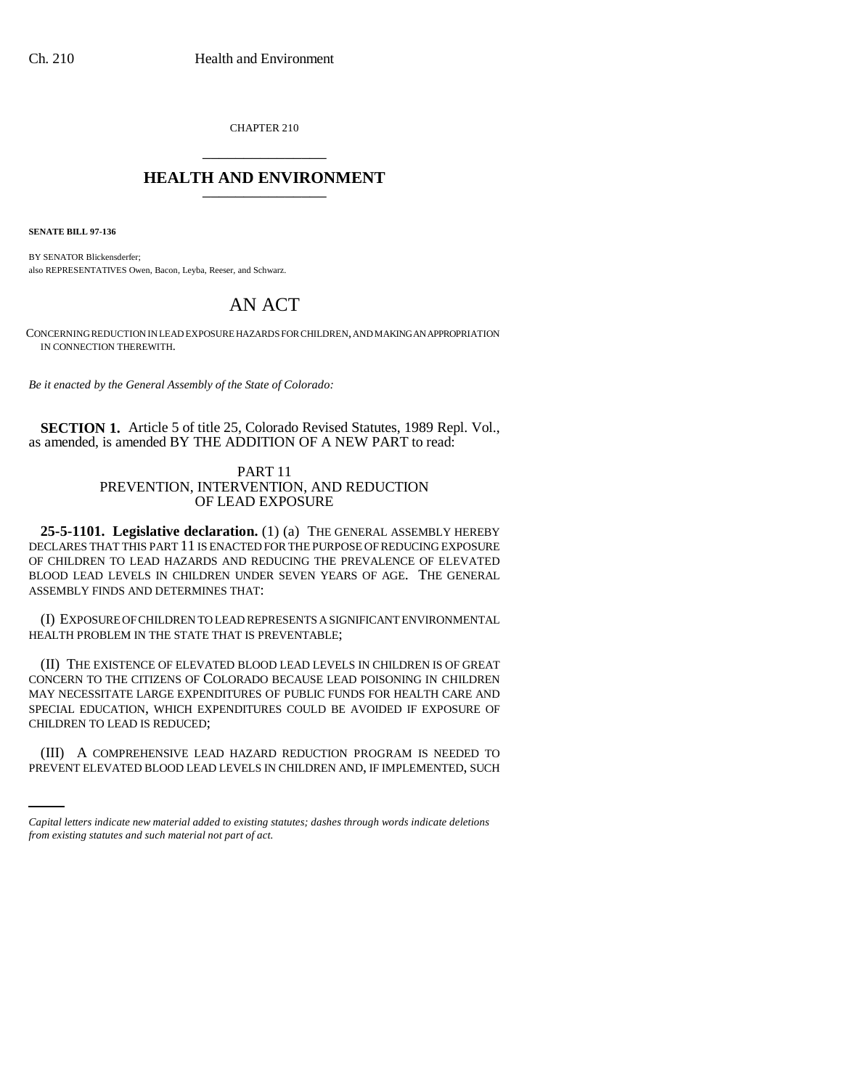CHAPTER 210 \_\_\_\_\_\_\_\_\_\_\_\_\_\_\_

## **HEALTH AND ENVIRONMENT** \_\_\_\_\_\_\_\_\_\_\_\_\_\_\_

**SENATE BILL 97-136**

BY SENATOR Blickensderfer; also REPRESENTATIVES Owen, Bacon, Leyba, Reeser, and Schwarz.

# AN ACT

CONCERNING REDUCTION IN LEAD EXPOSURE HAZARDS FOR CHILDREN, AND MAKING AN APPROPRIATION IN CONNECTION THEREWITH.

*Be it enacted by the General Assembly of the State of Colorado:*

**SECTION 1.** Article 5 of title 25, Colorado Revised Statutes, 1989 Repl. Vol., as amended, is amended BY THE ADDITION OF A NEW PART to read:

### PART 11 PREVENTION, INTERVENTION, AND REDUCTION OF LEAD EXPOSURE

**25-5-1101. Legislative declaration.** (1) (a) THE GENERAL ASSEMBLY HEREBY DECLARES THAT THIS PART 11 IS ENACTED FOR THE PURPOSE OF REDUCING EXPOSURE OF CHILDREN TO LEAD HAZARDS AND REDUCING THE PREVALENCE OF ELEVATED BLOOD LEAD LEVELS IN CHILDREN UNDER SEVEN YEARS OF AGE. THE GENERAL ASSEMBLY FINDS AND DETERMINES THAT:

(I) EXPOSURE OF CHILDREN TO LEAD REPRESENTS A SIGNIFICANT ENVIRONMENTAL HEALTH PROBLEM IN THE STATE THAT IS PREVENTABLE;

(II) THE EXISTENCE OF ELEVATED BLOOD LEAD LEVELS IN CHILDREN IS OF GREAT CONCERN TO THE CITIZENS OF COLORADO BECAUSE LEAD POISONING IN CHILDREN MAY NECESSITATE LARGE EXPENDITURES OF PUBLIC FUNDS FOR HEALTH CARE AND SPECIAL EDUCATION, WHICH EXPENDITURES COULD BE AVOIDED IF EXPOSURE OF CHILDREN TO LEAD IS REDUCED;

(III) A COMPREHENSIVE LEAD HAZARD REDUCTION PROGRAM IS NEEDED TO PREVENT ELEVATED BLOOD LEAD LEVELS IN CHILDREN AND, IF IMPLEMENTED, SUCH

*Capital letters indicate new material added to existing statutes; dashes through words indicate deletions from existing statutes and such material not part of act.*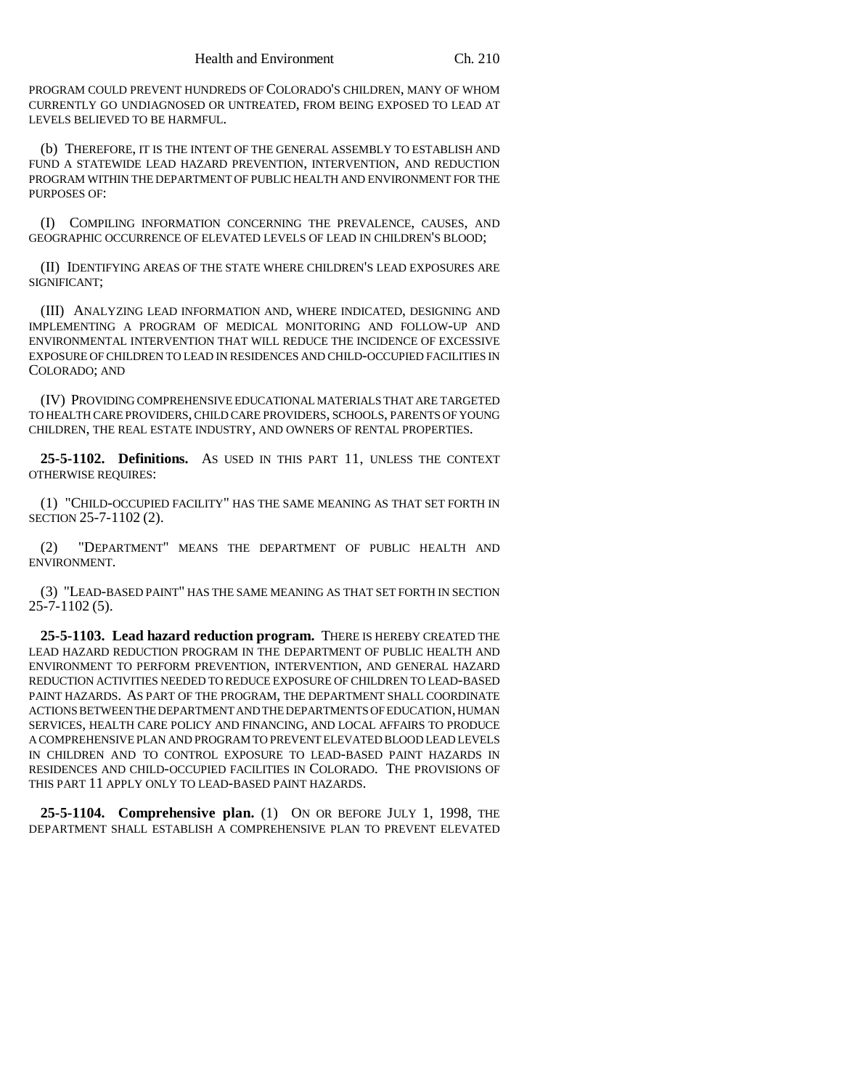PROGRAM COULD PREVENT HUNDREDS OF COLORADO'S CHILDREN, MANY OF WHOM CURRENTLY GO UNDIAGNOSED OR UNTREATED, FROM BEING EXPOSED TO LEAD AT LEVELS BELIEVED TO BE HARMFUL.

(b) THEREFORE, IT IS THE INTENT OF THE GENERAL ASSEMBLY TO ESTABLISH AND FUND A STATEWIDE LEAD HAZARD PREVENTION, INTERVENTION, AND REDUCTION PROGRAM WITHIN THE DEPARTMENT OF PUBLIC HEALTH AND ENVIRONMENT FOR THE PURPOSES OF:

(I) COMPILING INFORMATION CONCERNING THE PREVALENCE, CAUSES, AND GEOGRAPHIC OCCURRENCE OF ELEVATED LEVELS OF LEAD IN CHILDREN'S BLOOD;

(II) IDENTIFYING AREAS OF THE STATE WHERE CHILDREN'S LEAD EXPOSURES ARE SIGNIFICANT;

(III) ANALYZING LEAD INFORMATION AND, WHERE INDICATED, DESIGNING AND IMPLEMENTING A PROGRAM OF MEDICAL MONITORING AND FOLLOW-UP AND ENVIRONMENTAL INTERVENTION THAT WILL REDUCE THE INCIDENCE OF EXCESSIVE EXPOSURE OF CHILDREN TO LEAD IN RESIDENCES AND CHILD-OCCUPIED FACILITIES IN COLORADO; AND

(IV) PROVIDING COMPREHENSIVE EDUCATIONAL MATERIALS THAT ARE TARGETED TO HEALTH CARE PROVIDERS, CHILD CARE PROVIDERS, SCHOOLS, PARENTS OF YOUNG CHILDREN, THE REAL ESTATE INDUSTRY, AND OWNERS OF RENTAL PROPERTIES.

**25-5-1102. Definitions.** AS USED IN THIS PART 11, UNLESS THE CONTEXT OTHERWISE REQUIRES:

(1) "CHILD-OCCUPIED FACILITY" HAS THE SAME MEANING AS THAT SET FORTH IN SECTION 25-7-1102 (2).

(2) "DEPARTMENT" MEANS THE DEPARTMENT OF PUBLIC HEALTH AND ENVIRONMENT.

(3) "LEAD-BASED PAINT" HAS THE SAME MEANING AS THAT SET FORTH IN SECTION 25-7-1102 (5).

**25-5-1103. Lead hazard reduction program.** THERE IS HEREBY CREATED THE LEAD HAZARD REDUCTION PROGRAM IN THE DEPARTMENT OF PUBLIC HEALTH AND ENVIRONMENT TO PERFORM PREVENTION, INTERVENTION, AND GENERAL HAZARD REDUCTION ACTIVITIES NEEDED TO REDUCE EXPOSURE OF CHILDREN TO LEAD-BASED PAINT HAZARDS. AS PART OF THE PROGRAM, THE DEPARTMENT SHALL COORDINATE ACTIONS BETWEEN THE DEPARTMENT AND THE DEPARTMENTS OF EDUCATION, HUMAN SERVICES, HEALTH CARE POLICY AND FINANCING, AND LOCAL AFFAIRS TO PRODUCE A COMPREHENSIVE PLAN AND PROGRAM TO PREVENT ELEVATED BLOOD LEAD LEVELS IN CHILDREN AND TO CONTROL EXPOSURE TO LEAD-BASED PAINT HAZARDS IN RESIDENCES AND CHILD-OCCUPIED FACILITIES IN COLORADO. THE PROVISIONS OF THIS PART 11 APPLY ONLY TO LEAD-BASED PAINT HAZARDS.

**25-5-1104. Comprehensive plan.** (1) ON OR BEFORE JULY 1, 1998, THE DEPARTMENT SHALL ESTABLISH A COMPREHENSIVE PLAN TO PREVENT ELEVATED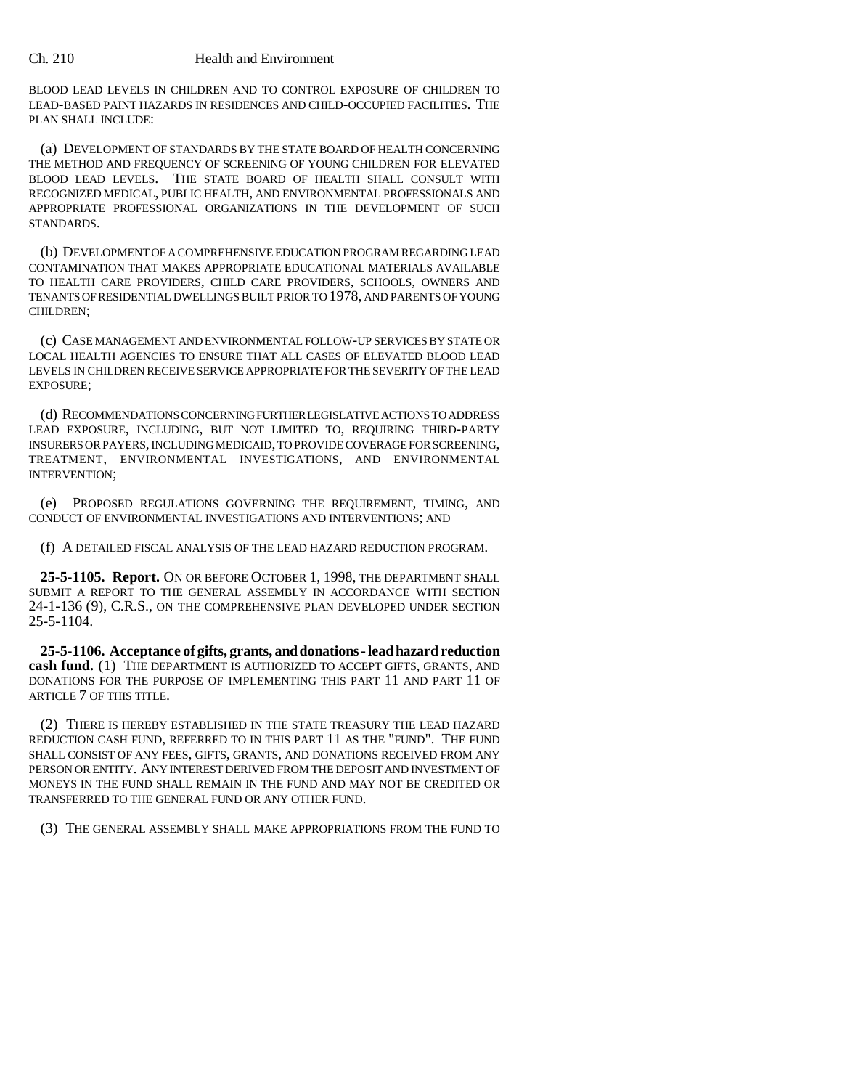#### Ch. 210 Health and Environment

BLOOD LEAD LEVELS IN CHILDREN AND TO CONTROL EXPOSURE OF CHILDREN TO LEAD-BASED PAINT HAZARDS IN RESIDENCES AND CHILD-OCCUPIED FACILITIES. THE PLAN SHALL INCLUDE:

(a) DEVELOPMENT OF STANDARDS BY THE STATE BOARD OF HEALTH CONCERNING THE METHOD AND FREQUENCY OF SCREENING OF YOUNG CHILDREN FOR ELEVATED BLOOD LEAD LEVELS. THE STATE BOARD OF HEALTH SHALL CONSULT WITH RECOGNIZED MEDICAL, PUBLIC HEALTH, AND ENVIRONMENTAL PROFESSIONALS AND APPROPRIATE PROFESSIONAL ORGANIZATIONS IN THE DEVELOPMENT OF SUCH STANDARDS.

(b) DEVELOPMENT OF A COMPREHENSIVE EDUCATION PROGRAM REGARDING LEAD CONTAMINATION THAT MAKES APPROPRIATE EDUCATIONAL MATERIALS AVAILABLE TO HEALTH CARE PROVIDERS, CHILD CARE PROVIDERS, SCHOOLS, OWNERS AND TENANTS OF RESIDENTIAL DWELLINGS BUILT PRIOR TO 1978, AND PARENTS OF YOUNG CHILDREN;

(c) CASE MANAGEMENT AND ENVIRONMENTAL FOLLOW-UP SERVICES BY STATE OR LOCAL HEALTH AGENCIES TO ENSURE THAT ALL CASES OF ELEVATED BLOOD LEAD LEVELS IN CHILDREN RECEIVE SERVICE APPROPRIATE FOR THE SEVERITY OF THE LEAD EXPOSURE;

(d) RECOMMENDATIONS CONCERNING FURTHER LEGISLATIVE ACTIONS TO ADDRESS LEAD EXPOSURE, INCLUDING, BUT NOT LIMITED TO, REQUIRING THIRD-PARTY INSURERS OR PAYERS, INCLUDING MEDICAID, TO PROVIDE COVERAGE FOR SCREENING, TREATMENT, ENVIRONMENTAL INVESTIGATIONS, AND ENVIRONMENTAL INTERVENTION;

(e) PROPOSED REGULATIONS GOVERNING THE REQUIREMENT, TIMING, AND CONDUCT OF ENVIRONMENTAL INVESTIGATIONS AND INTERVENTIONS; AND

(f) A DETAILED FISCAL ANALYSIS OF THE LEAD HAZARD REDUCTION PROGRAM.

**25-5-1105. Report.** ON OR BEFORE OCTOBER 1, 1998, THE DEPARTMENT SHALL SUBMIT A REPORT TO THE GENERAL ASSEMBLY IN ACCORDANCE WITH SECTION 24-1-136 (9), C.R.S., ON THE COMPREHENSIVE PLAN DEVELOPED UNDER SECTION 25-5-1104.

**25-5-1106. Acceptance of gifts, grants, and donations - lead hazard reduction** cash fund. (1) THE DEPARTMENT IS AUTHORIZED TO ACCEPT GIFTS, GRANTS, AND DONATIONS FOR THE PURPOSE OF IMPLEMENTING THIS PART 11 AND PART 11 OF ARTICLE 7 OF THIS TITLE.

(2) THERE IS HEREBY ESTABLISHED IN THE STATE TREASURY THE LEAD HAZARD REDUCTION CASH FUND, REFERRED TO IN THIS PART 11 AS THE "FUND". THE FUND SHALL CONSIST OF ANY FEES, GIFTS, GRANTS, AND DONATIONS RECEIVED FROM ANY PERSON OR ENTITY. ANY INTEREST DERIVED FROM THE DEPOSIT AND INVESTMENT OF MONEYS IN THE FUND SHALL REMAIN IN THE FUND AND MAY NOT BE CREDITED OR TRANSFERRED TO THE GENERAL FUND OR ANY OTHER FUND.

(3) THE GENERAL ASSEMBLY SHALL MAKE APPROPRIATIONS FROM THE FUND TO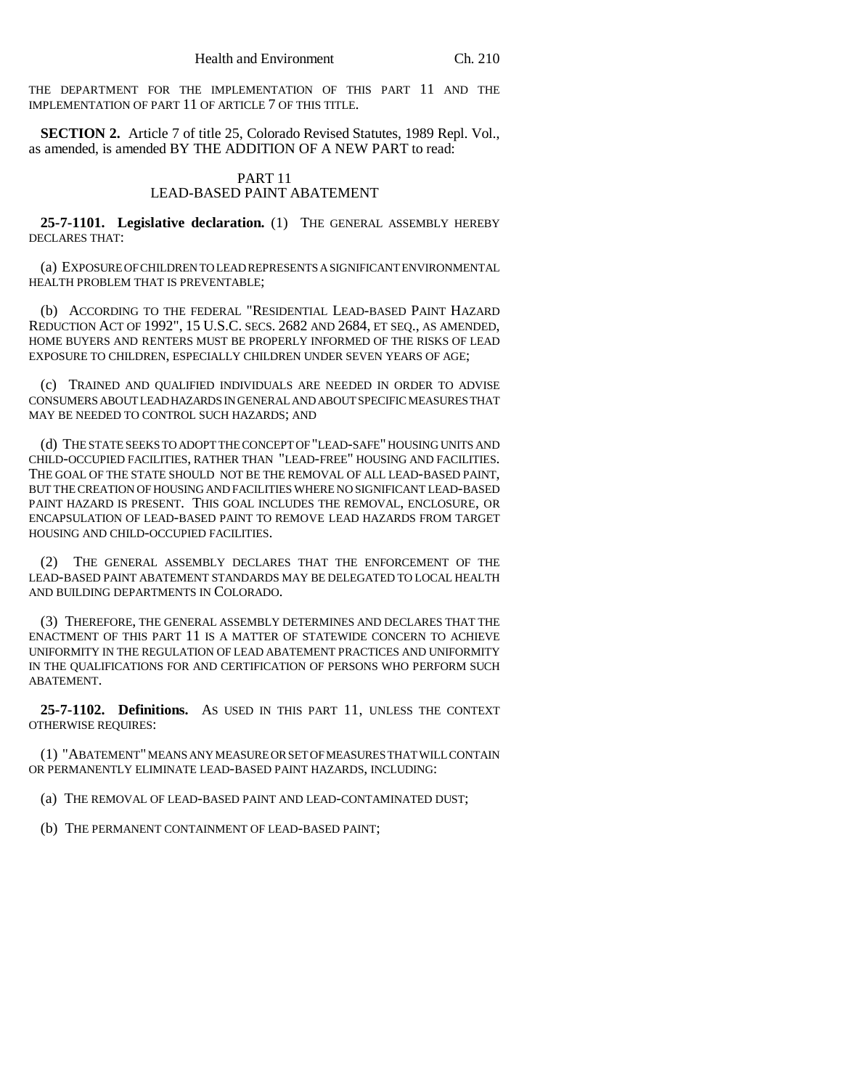THE DEPARTMENT FOR THE IMPLEMENTATION OF THIS PART 11 AND THE IMPLEMENTATION OF PART 11 OF ARTICLE 7 OF THIS TITLE.

**SECTION 2.** Article 7 of title 25, Colorado Revised Statutes, 1989 Repl. Vol., as amended, is amended BY THE ADDITION OF A NEW PART to read:

## PART 11 LEAD-BASED PAINT ABATEMENT

**25-7-1101. Legislative declaration.** (1) THE GENERAL ASSEMBLY HEREBY DECLARES THAT:

(a) EXPOSURE OF CHILDREN TO LEAD REPRESENTS A SIGNIFICANT ENVIRONMENTAL HEALTH PROBLEM THAT IS PREVENTABLE;

(b) ACCORDING TO THE FEDERAL "RESIDENTIAL LEAD-BASED PAINT HAZARD REDUCTION ACT OF 1992", 15 U.S.C. SECS. 2682 AND 2684, ET SEQ., AS AMENDED, HOME BUYERS AND RENTERS MUST BE PROPERLY INFORMED OF THE RISKS OF LEAD EXPOSURE TO CHILDREN, ESPECIALLY CHILDREN UNDER SEVEN YEARS OF AGE;

(c) TRAINED AND QUALIFIED INDIVIDUALS ARE NEEDED IN ORDER TO ADVISE CONSUMERS ABOUT LEAD HAZARDS IN GENERAL AND ABOUT SPECIFIC MEASURES THAT MAY BE NEEDED TO CONTROL SUCH HAZARDS; AND

(d) THE STATE SEEKS TO ADOPT THE CONCEPT OF "LEAD-SAFE" HOUSING UNITS AND CHILD-OCCUPIED FACILITIES, RATHER THAN "LEAD-FREE" HOUSING AND FACILITIES. THE GOAL OF THE STATE SHOULD NOT BE THE REMOVAL OF ALL LEAD-BASED PAINT, BUT THE CREATION OF HOUSING AND FACILITIES WHERE NO SIGNIFICANT LEAD-BASED PAINT HAZARD IS PRESENT. THIS GOAL INCLUDES THE REMOVAL, ENCLOSURE, OR ENCAPSULATION OF LEAD-BASED PAINT TO REMOVE LEAD HAZARDS FROM TARGET HOUSING AND CHILD-OCCUPIED FACILITIES.

(2) THE GENERAL ASSEMBLY DECLARES THAT THE ENFORCEMENT OF THE LEAD-BASED PAINT ABATEMENT STANDARDS MAY BE DELEGATED TO LOCAL HEALTH AND BUILDING DEPARTMENTS IN COLORADO.

(3) THEREFORE, THE GENERAL ASSEMBLY DETERMINES AND DECLARES THAT THE ENACTMENT OF THIS PART 11 IS A MATTER OF STATEWIDE CONCERN TO ACHIEVE UNIFORMITY IN THE REGULATION OF LEAD ABATEMENT PRACTICES AND UNIFORMITY IN THE QUALIFICATIONS FOR AND CERTIFICATION OF PERSONS WHO PERFORM SUCH ABATEMENT.

**25-7-1102. Definitions.** AS USED IN THIS PART 11, UNLESS THE CONTEXT OTHERWISE REQUIRES:

(1) "ABATEMENT" MEANS ANY MEASURE OR SET OF MEASURES THAT WILL CONTAIN OR PERMANENTLY ELIMINATE LEAD-BASED PAINT HAZARDS, INCLUDING:

(a) THE REMOVAL OF LEAD-BASED PAINT AND LEAD-CONTAMINATED DUST;

(b) THE PERMANENT CONTAINMENT OF LEAD-BASED PAINT;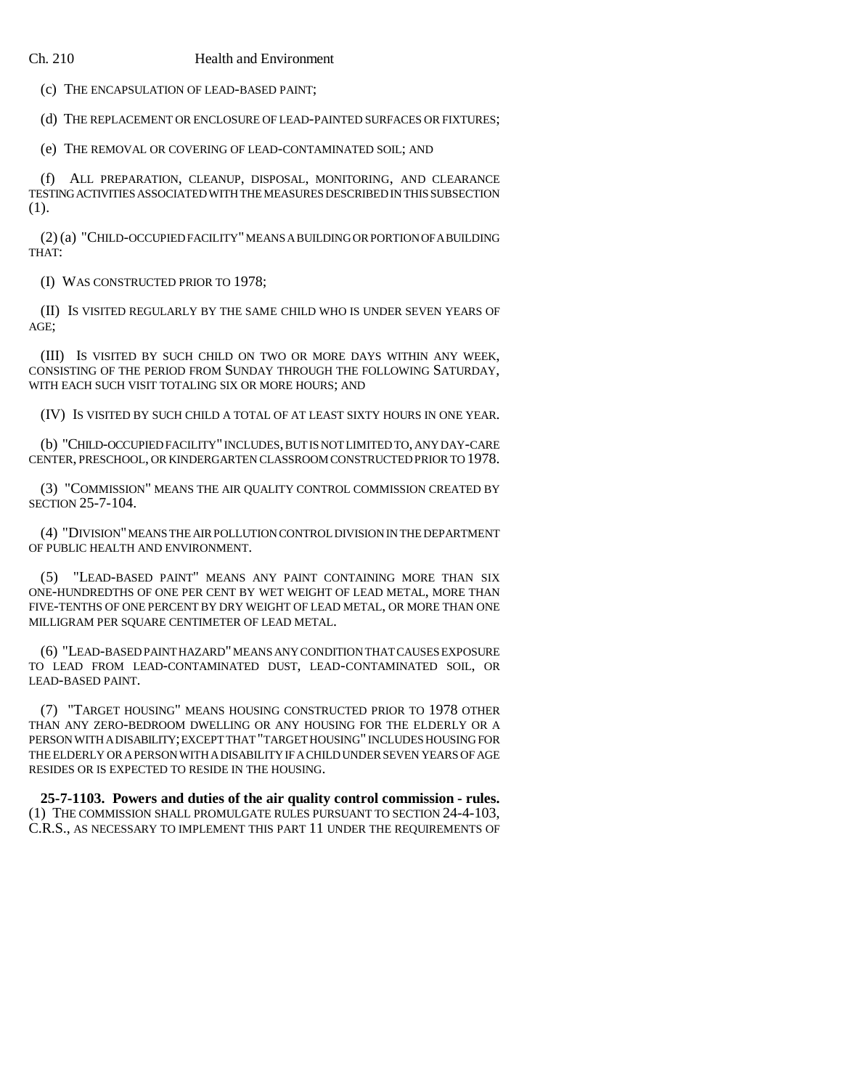#### Ch. 210 Health and Environment

(c) THE ENCAPSULATION OF LEAD-BASED PAINT;

(d) THE REPLACEMENT OR ENCLOSURE OF LEAD-PAINTED SURFACES OR FIXTURES;

(e) THE REMOVAL OR COVERING OF LEAD-CONTAMINATED SOIL; AND

(f) ALL PREPARATION, CLEANUP, DISPOSAL, MONITORING, AND CLEARANCE TESTING ACTIVITIES ASSOCIATED WITH THE MEASURES DESCRIBED IN THIS SUBSECTION (1).

(2) (a) "CHILD-OCCUPIED FACILITY" MEANS A BUILDING OR PORTION OF A BUILDING THAT:

(I) WAS CONSTRUCTED PRIOR TO 1978;

(II) IS VISITED REGULARLY BY THE SAME CHILD WHO IS UNDER SEVEN YEARS OF AGE;

(III) IS VISITED BY SUCH CHILD ON TWO OR MORE DAYS WITHIN ANY WEEK, CONSISTING OF THE PERIOD FROM SUNDAY THROUGH THE FOLLOWING SATURDAY, WITH EACH SUCH VISIT TOTALING SIX OR MORE HOURS; AND

(IV) IS VISITED BY SUCH CHILD A TOTAL OF AT LEAST SIXTY HOURS IN ONE YEAR.

(b) "CHILD-OCCUPIED FACILITY" INCLUDES, BUT IS NOT LIMITED TO, ANY DAY-CARE CENTER, PRESCHOOL, OR KINDERGARTEN CLASSROOM CONSTRUCTED PRIOR TO 1978.

(3) "COMMISSION" MEANS THE AIR QUALITY CONTROL COMMISSION CREATED BY SECTION 25-7-104.

(4) "DIVISION" MEANS THE AIR POLLUTION CONTROL DIVISION IN THE DEPARTMENT OF PUBLIC HEALTH AND ENVIRONMENT.

"LEAD-BASED PAINT" MEANS ANY PAINT CONTAINING MORE THAN SIX ONE-HUNDREDTHS OF ONE PER CENT BY WET WEIGHT OF LEAD METAL, MORE THAN FIVE-TENTHS OF ONE PERCENT BY DRY WEIGHT OF LEAD METAL, OR MORE THAN ONE MILLIGRAM PER SQUARE CENTIMETER OF LEAD METAL.

(6) "LEAD-BASED PAINT HAZARD" MEANS ANY CONDITION THAT CAUSES EXPOSURE TO LEAD FROM LEAD-CONTAMINATED DUST, LEAD-CONTAMINATED SOIL, OR LEAD-BASED PAINT.

(7) "TARGET HOUSING" MEANS HOUSING CONSTRUCTED PRIOR TO 1978 OTHER THAN ANY ZERO-BEDROOM DWELLING OR ANY HOUSING FOR THE ELDERLY OR A PERSON WITH A DISABILITY; EXCEPT THAT "TARGET HOUSING" INCLUDES HOUSING FOR THE ELDERLY OR A PERSON WITH A DISABILITY IF A CHILD UNDER SEVEN YEARS OF AGE RESIDES OR IS EXPECTED TO RESIDE IN THE HOUSING.

**25-7-1103. Powers and duties of the air quality control commission - rules.** (1) THE COMMISSION SHALL PROMULGATE RULES PURSUANT TO SECTION 24-4-103, C.R.S., AS NECESSARY TO IMPLEMENT THIS PART 11 UNDER THE REQUIREMENTS OF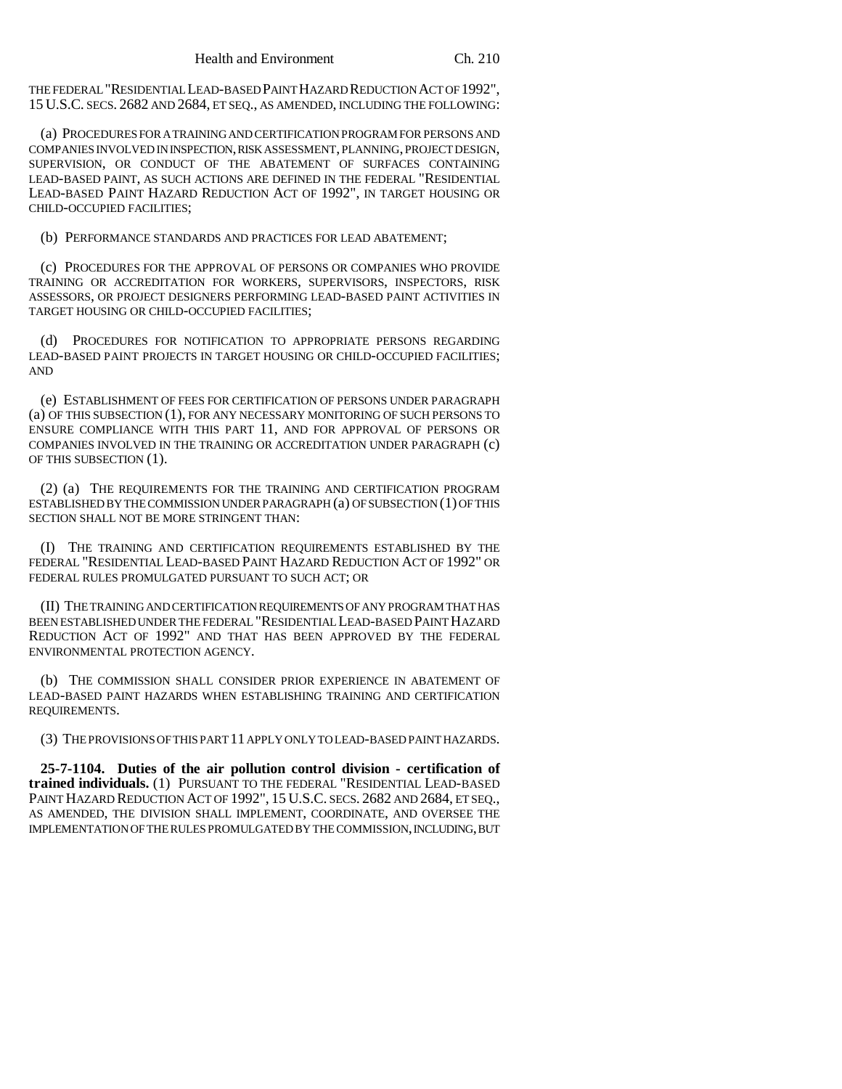THE FEDERAL "RESIDENTIAL LEAD-BASED PAINT HAZARD REDUCTION ACT OF 1992", 15 U.S.C. SECS. 2682 AND 2684, ET SEQ., AS AMENDED, INCLUDING THE FOLLOWING:

(a) PROCEDURES FOR A TRAINING AND CERTIFICATION PROGRAM FOR PERSONS AND COMPANIES INVOLVED IN INSPECTION, RISK ASSESSMENT, PLANNING, PROJECT DESIGN, SUPERVISION, OR CONDUCT OF THE ABATEMENT OF SURFACES CONTAINING LEAD-BASED PAINT, AS SUCH ACTIONS ARE DEFINED IN THE FEDERAL "RESIDENTIAL LEAD-BASED PAINT HAZARD REDUCTION ACT OF 1992", IN TARGET HOUSING OR CHILD-OCCUPIED FACILITIES;

(b) PERFORMANCE STANDARDS AND PRACTICES FOR LEAD ABATEMENT;

(c) PROCEDURES FOR THE APPROVAL OF PERSONS OR COMPANIES WHO PROVIDE TRAINING OR ACCREDITATION FOR WORKERS, SUPERVISORS, INSPECTORS, RISK ASSESSORS, OR PROJECT DESIGNERS PERFORMING LEAD-BASED PAINT ACTIVITIES IN TARGET HOUSING OR CHILD-OCCUPIED FACILITIES;

(d) PROCEDURES FOR NOTIFICATION TO APPROPRIATE PERSONS REGARDING LEAD-BASED PAINT PROJECTS IN TARGET HOUSING OR CHILD-OCCUPIED FACILITIES; AND

(e) ESTABLISHMENT OF FEES FOR CERTIFICATION OF PERSONS UNDER PARAGRAPH (a) OF THIS SUBSECTION (1), FOR ANY NECESSARY MONITORING OF SUCH PERSONS TO ENSURE COMPLIANCE WITH THIS PART 11, AND FOR APPROVAL OF PERSONS OR COMPANIES INVOLVED IN THE TRAINING OR ACCREDITATION UNDER PARAGRAPH (c) OF THIS SUBSECTION (1).

(2) (a) THE REQUIREMENTS FOR THE TRAINING AND CERTIFICATION PROGRAM ESTABLISHED BY THE COMMISSION UNDER PARAGRAPH (a) OF SUBSECTION (1) OF THIS SECTION SHALL NOT BE MORE STRINGENT THAN:

(I) THE TRAINING AND CERTIFICATION REQUIREMENTS ESTABLISHED BY THE FEDERAL "RESIDENTIAL LEAD-BASED PAINT HAZARD REDUCTION ACT OF 1992" OR FEDERAL RULES PROMULGATED PURSUANT TO SUCH ACT; OR

(II) THE TRAINING AND CERTIFICATION REQUIREMENTS OF ANY PROGRAM THAT HAS BEEN ESTABLISHED UNDER THE FEDERAL "RESIDENTIAL LEAD-BASED PAINT HAZARD REDUCTION ACT OF 1992" AND THAT HAS BEEN APPROVED BY THE FEDERAL ENVIRONMENTAL PROTECTION AGENCY.

(b) THE COMMISSION SHALL CONSIDER PRIOR EXPERIENCE IN ABATEMENT OF LEAD-BASED PAINT HAZARDS WHEN ESTABLISHING TRAINING AND CERTIFICATION REQUIREMENTS.

(3) THE PROVISIONS OF THIS PART 11 APPLY ONLY TO LEAD-BASED PAINT HAZARDS.

**25-7-1104. Duties of the air pollution control division - certification of trained individuals.** (1) PURSUANT TO THE FEDERAL "RESIDENTIAL LEAD-BASED PAINT HAZARD REDUCTION ACT OF 1992", 15 U.S.C. SECS. 2682 AND 2684, ET SEQ., AS AMENDED, THE DIVISION SHALL IMPLEMENT, COORDINATE, AND OVERSEE THE IMPLEMENTATION OF THE RULES PROMULGATED BY THE COMMISSION, INCLUDING, BUT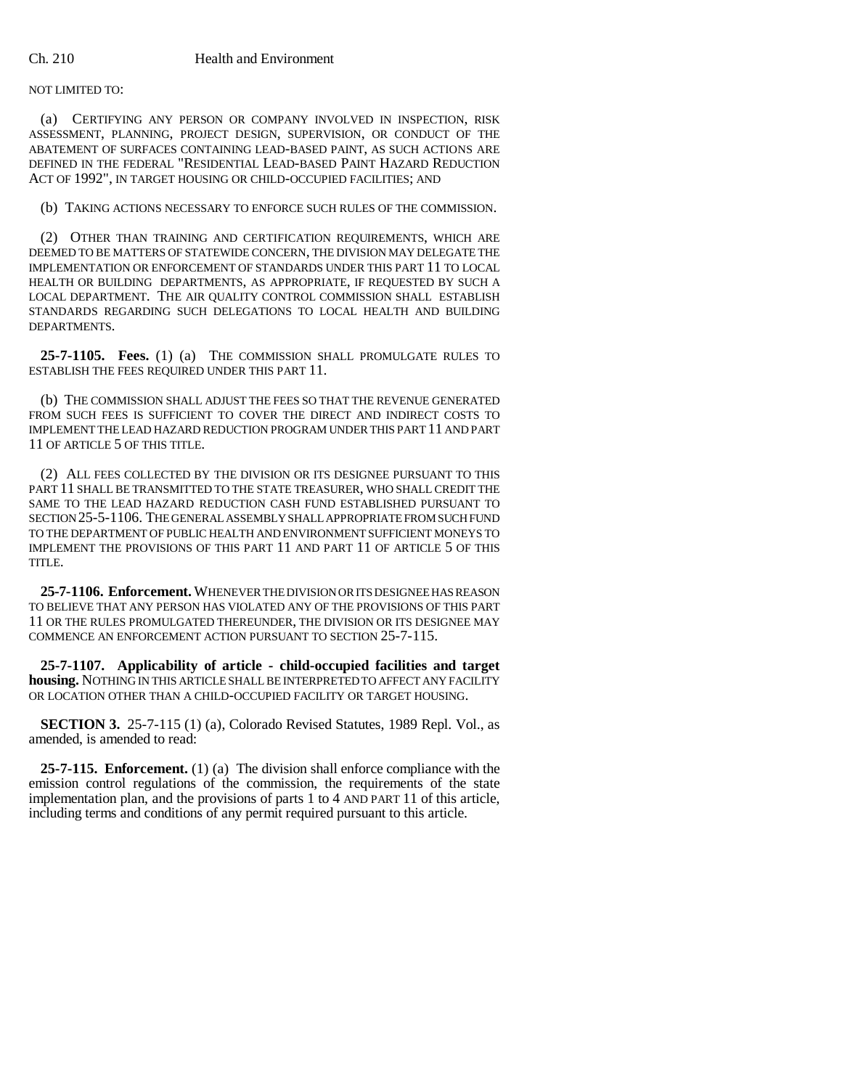NOT LIMITED TO:

(a) CERTIFYING ANY PERSON OR COMPANY INVOLVED IN INSPECTION, RISK ASSESSMENT, PLANNING, PROJECT DESIGN, SUPERVISION, OR CONDUCT OF THE ABATEMENT OF SURFACES CONTAINING LEAD-BASED PAINT, AS SUCH ACTIONS ARE DEFINED IN THE FEDERAL "RESIDENTIAL LEAD-BASED PAINT HAZARD REDUCTION ACT OF 1992", IN TARGET HOUSING OR CHILD-OCCUPIED FACILITIES; AND

(b) TAKING ACTIONS NECESSARY TO ENFORCE SUCH RULES OF THE COMMISSION.

(2) OTHER THAN TRAINING AND CERTIFICATION REQUIREMENTS, WHICH ARE DEEMED TO BE MATTERS OF STATEWIDE CONCERN, THE DIVISION MAY DELEGATE THE IMPLEMENTATION OR ENFORCEMENT OF STANDARDS UNDER THIS PART 11 TO LOCAL HEALTH OR BUILDING DEPARTMENTS, AS APPROPRIATE, IF REQUESTED BY SUCH A LOCAL DEPARTMENT. THE AIR QUALITY CONTROL COMMISSION SHALL ESTABLISH STANDARDS REGARDING SUCH DELEGATIONS TO LOCAL HEALTH AND BUILDING DEPARTMENTS.

**25-7-1105. Fees.** (1) (a) THE COMMISSION SHALL PROMULGATE RULES TO ESTABLISH THE FEES REQUIRED UNDER THIS PART 11.

(b) THE COMMISSION SHALL ADJUST THE FEES SO THAT THE REVENUE GENERATED FROM SUCH FEES IS SUFFICIENT TO COVER THE DIRECT AND INDIRECT COSTS TO IMPLEMENT THE LEAD HAZARD REDUCTION PROGRAM UNDER THIS PART 11 AND PART 11 OF ARTICLE 5 OF THIS TITLE.

(2) ALL FEES COLLECTED BY THE DIVISION OR ITS DESIGNEE PURSUANT TO THIS PART 11 SHALL BE TRANSMITTED TO THE STATE TREASURER, WHO SHALL CREDIT THE SAME TO THE LEAD HAZARD REDUCTION CASH FUND ESTABLISHED PURSUANT TO SECTION 25-5-1106. THE GENERAL ASSEMBLY SHALL APPROPRIATE FROM SUCH FUND TO THE DEPARTMENT OF PUBLIC HEALTH AND ENVIRONMENT SUFFICIENT MONEYS TO IMPLEMENT THE PROVISIONS OF THIS PART 11 AND PART 11 OF ARTICLE 5 OF THIS TITLE.

**25-7-1106. Enforcement.** WHENEVER THE DIVISION OR ITS DESIGNEE HAS REASON TO BELIEVE THAT ANY PERSON HAS VIOLATED ANY OF THE PROVISIONS OF THIS PART 11 OR THE RULES PROMULGATED THEREUNDER, THE DIVISION OR ITS DESIGNEE MAY COMMENCE AN ENFORCEMENT ACTION PURSUANT TO SECTION 25-7-115.

**25-7-1107. Applicability of article - child-occupied facilities and target housing.** NOTHING IN THIS ARTICLE SHALL BE INTERPRETED TO AFFECT ANY FACILITY OR LOCATION OTHER THAN A CHILD-OCCUPIED FACILITY OR TARGET HOUSING.

**SECTION 3.** 25-7-115 (1) (a), Colorado Revised Statutes, 1989 Repl. Vol., as amended, is amended to read:

**25-7-115. Enforcement.** (1) (a) The division shall enforce compliance with the emission control regulations of the commission, the requirements of the state implementation plan, and the provisions of parts 1 to 4 AND PART 11 of this article, including terms and conditions of any permit required pursuant to this article.